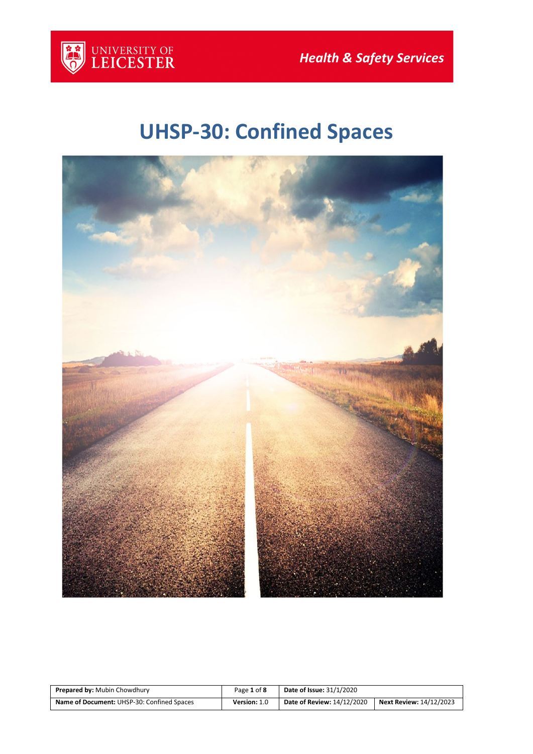

# **UHSP-30: Confined Spaces**



| <b>Prepared by: Mubin Chowdhury</b>        | Page 1 of 8  | Date of Issue: 31/1/2020          |                         |
|--------------------------------------------|--------------|-----------------------------------|-------------------------|
| Name of Document: UHSP-30: Confined Spaces | Version: 1.0 | <b>Date of Review: 14/12/2020</b> | Next Review: 14/12/2023 |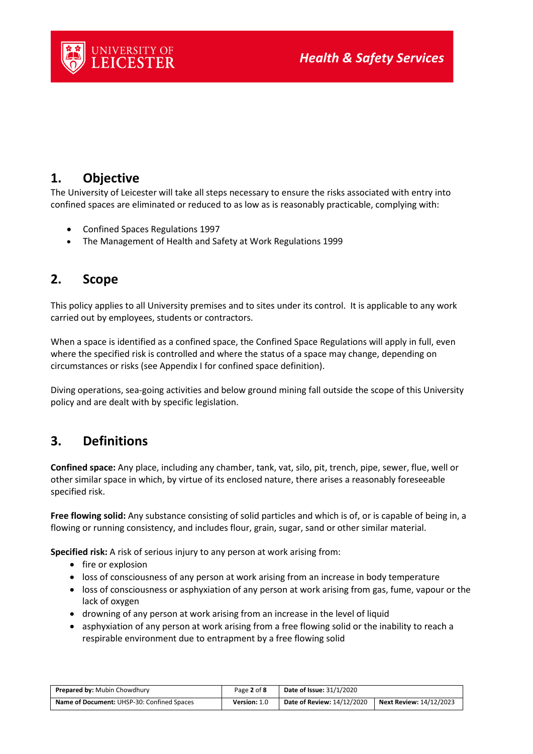

## **1. Objective**

The University of Leicester will take all steps necessary to ensure the risks associated with entry into confined spaces are eliminated or reduced to as low as is reasonably practicable, complying with:

- Confined Spaces Regulations 1997
- The Management of Health and Safety at Work Regulations 1999

## **2. Scope**

This policy applies to all University premises and to sites under its control. It is applicable to any work carried out by employees, students or contractors.

When a space is identified as a confined space, the Confined Space Regulations will apply in full, even where the specified risk is controlled and where the status of a space may change, depending on circumstances or risks (see Appendix I for confined space definition).

Diving operations, sea-going activities and below ground mining fall outside the scope of this University policy and are dealt with by specific legislation.

## **3. Definitions**

**Confined space:** Any place, including any chamber, tank, vat, silo, pit, trench, pipe, sewer, flue, well or other similar space in which, by virtue of its enclosed nature, there arises a reasonably foreseeable specified risk.

**Free flowing solid:** Any substance consisting of solid particles and which is of, or is capable of being in, a flowing or running consistency, and includes flour, grain, sugar, sand or other similar material.

**Specified risk:** A risk of serious injury to any person at work arising from:

- fire or explosion
- loss of consciousness of any person at work arising from an increase in body temperature
- loss of consciousness or asphyxiation of any person at work arising from gas, fume, vapour or the lack of oxygen
- drowning of any person at work arising from an increase in the level of liquid
- asphyxiation of any person at work arising from a free flowing solid or the inability to reach a respirable environment due to entrapment by a free flowing solid

| <b>Prepared by: Mubin Chowdhury</b>        | Page 2 of 8  | <b>Date of Issue: 31/1/2020</b> |                                |
|--------------------------------------------|--------------|---------------------------------|--------------------------------|
| Name of Document: UHSP-30: Confined Spaces | Version: 1.0 | Date of Review: 14/12/2020      | <b>Next Review: 14/12/2023</b> |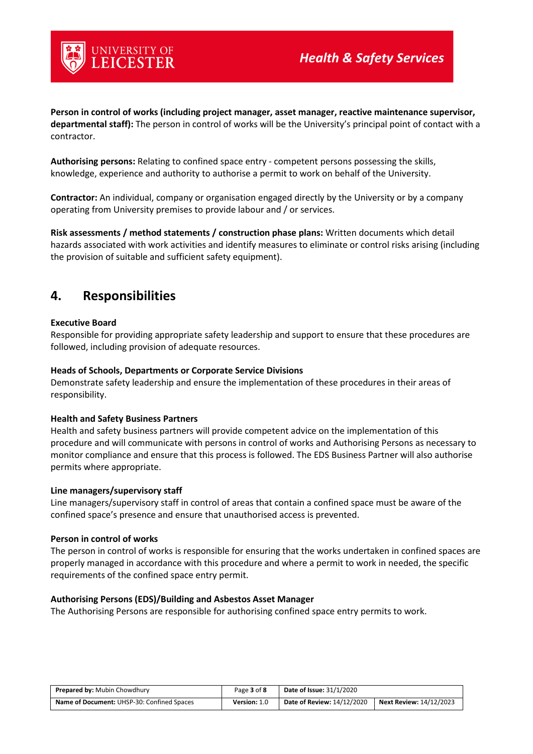

**Person in control of works (including project manager, asset manager, reactive maintenance supervisor, departmental staff):** The person in control of works will be the University's principal point of contact with a contractor.

**Authorising persons:** Relating to confined space entry - competent persons possessing the skills, knowledge, experience and authority to authorise a permit to work on behalf of the University.

**Contractor:** An individual, company or organisation engaged directly by the University or by a company operating from University premises to provide labour and / or services.

**Risk assessments / method statements / construction phase plans:** Written documents which detail hazards associated with work activities and identify measures to eliminate or control risks arising (including the provision of suitable and sufficient safety equipment).

## **4. Responsibilities**

#### **Executive Board**

Responsible for providing appropriate safety leadership and support to ensure that these procedures are followed, including provision of adequate resources.

#### **Heads of Schools, Departments or Corporate Service Divisions**

Demonstrate safety leadership and ensure the implementation of these procedures in their areas of responsibility.

#### **Health and Safety Business Partners**

Health and safety business partners will provide competent advice on the implementation of this procedure and will communicate with persons in control of works and Authorising Persons as necessary to monitor compliance and ensure that this process is followed. The EDS Business Partner will also authorise permits where appropriate.

#### **Line managers/supervisory staff**

Line managers/supervisory staff in control of areas that contain a confined space must be aware of the confined space's presence and ensure that unauthorised access is prevented.

#### **Person in control of works**

The person in control of works is responsible for ensuring that the works undertaken in confined spaces are properly managed in accordance with this procedure and where a permit to work in needed, the specific requirements of the confined space entry permit.

#### **Authorising Persons (EDS)/Building and Asbestos Asset Manager**

The Authorising Persons are responsible for authorising confined space entry permits to work.

| <b>Prepared by: Mubin Chowdhury</b>        | Page 3 of 8  | <b>Date of Issue: 31/1/2020</b> |                                |
|--------------------------------------------|--------------|---------------------------------|--------------------------------|
| Name of Document: UHSP-30: Confined Spaces | Version: 1.0 | Date of Review: 14/12/2020      | <b>Next Review: 14/12/2023</b> |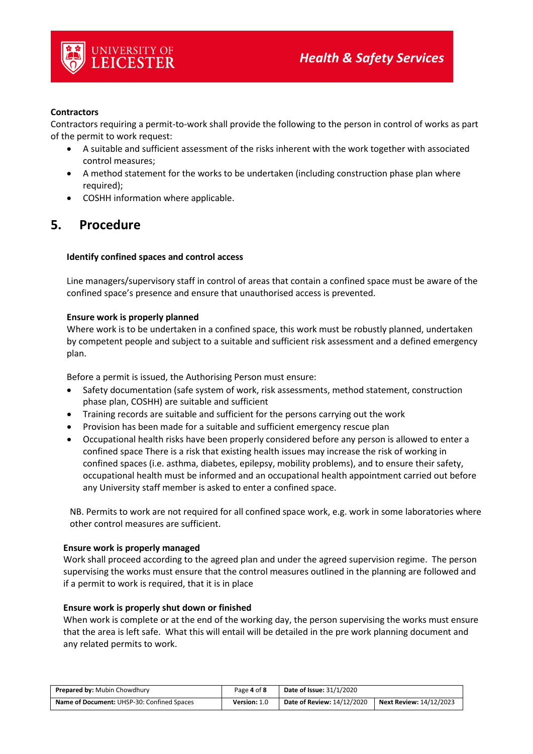

#### **Contractors**

Contractors requiring a permit-to-work shall provide the following to the person in control of works as part of the permit to work request:

- A suitable and sufficient assessment of the risks inherent with the work together with associated control measures;
- A method statement for the works to be undertaken (including construction phase plan where required);
- COSHH information where applicable.

## **5. Procedure**

#### **Identify confined spaces and control access**

Line managers/supervisory staff in control of areas that contain a confined space must be aware of the confined space's presence and ensure that unauthorised access is prevented.

#### **Ensure work is properly planned**

Where work is to be undertaken in a confined space, this work must be robustly planned, undertaken by competent people and subject to a suitable and sufficient risk assessment and a defined emergency plan.

Before a permit is issued, the Authorising Person must ensure:

- Safety documentation (safe system of work, risk assessments, method statement, construction phase plan, COSHH) are suitable and sufficient
- Training records are suitable and sufficient for the persons carrying out the work
- Provision has been made for a suitable and sufficient emergency rescue plan
- Occupational health risks have been properly considered before any person is allowed to enter a confined space There is a risk that existing health issues may increase the risk of working in confined spaces (i.e. asthma, diabetes, epilepsy, mobility problems), and to ensure their safety, occupational health must be informed and an occupational health appointment carried out before any University staff member is asked to enter a confined space.

NB. Permits to work are not required for all confined space work, e.g. work in some laboratories where other control measures are sufficient.

#### **Ensure work is properly managed**

Work shall proceed according to the agreed plan and under the agreed supervision regime. The person supervising the works must ensure that the control measures outlined in the planning are followed and if a permit to work is required, that it is in place

#### **Ensure work is properly shut down or finished**

When work is complete or at the end of the working day, the person supervising the works must ensure that the area is left safe. What this will entail will be detailed in the pre work planning document and any related permits to work.

| <b>Prepared by: Mubin Chowdhury</b>        | Page 4 of 8         | <b>Date of Issue: 31/1/2020</b>   |                                |
|--------------------------------------------|---------------------|-----------------------------------|--------------------------------|
| Name of Document: UHSP-30: Confined Spaces | <b>Version: 1.0</b> | <b>Date of Review: 14/12/2020</b> | <b>Next Review: 14/12/2023</b> |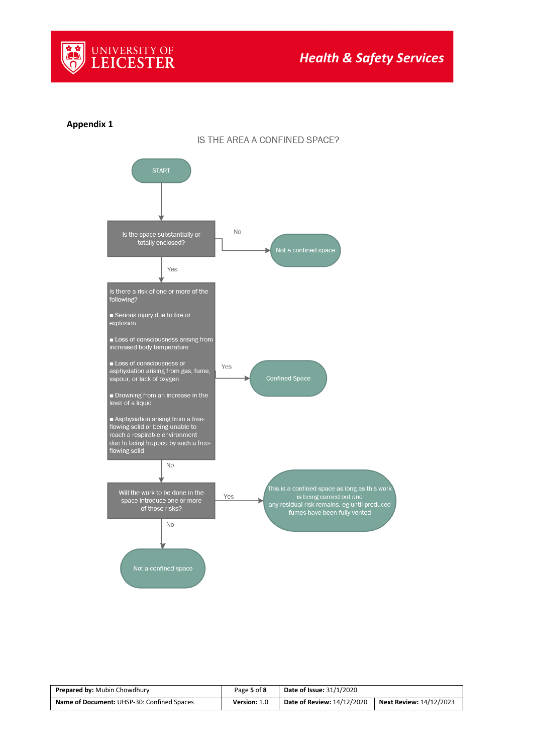

#### **Appendix 1**



IS THE AREA A CONFINED SPACE?

| <b>Prepared by: Mubin Chowdhury</b>        | Page 5 of 8  | <b>Date of Issue: 31/1/2020</b> |                                |
|--------------------------------------------|--------------|---------------------------------|--------------------------------|
| Name of Document: UHSP-30: Confined Spaces | Version: 1.0 | Date of Review: 14/12/2020      | <b>Next Review: 14/12/2023</b> |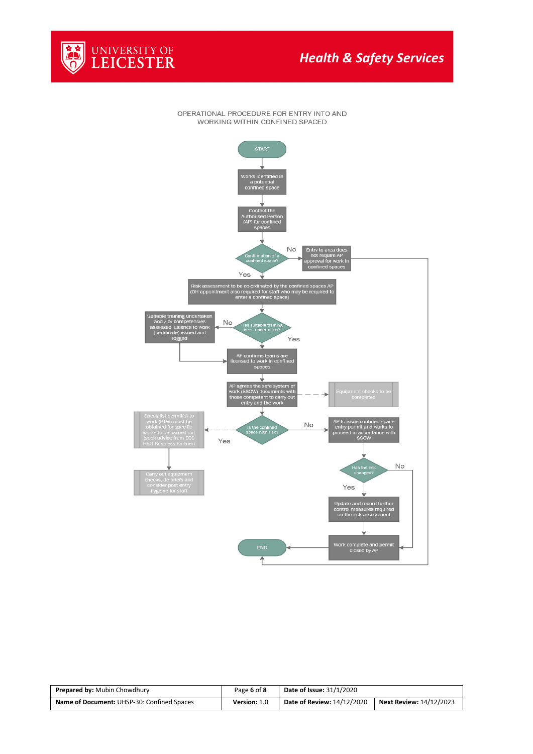

OPERATIONAL PROCEDURE FOR ENTRY INTO AND WORKING WITHIN CONFINED SPACED



| <b>Prepared by: Mubin Chowdhury</b>        | Page 6 of 8  | <b>Date of Issue: 31/1/2020</b>   |                                |
|--------------------------------------------|--------------|-----------------------------------|--------------------------------|
| Name of Document: UHSP-30: Confined Spaces | Version: 1.0 | <b>Date of Review: 14/12/2020</b> | <b>Next Review: 14/12/2023</b> |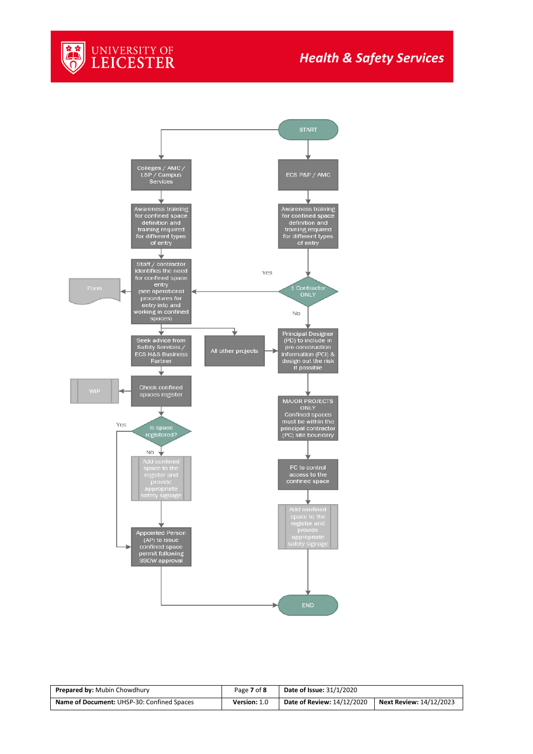



| <b>Prepared by: Mubin Chowdhury</b>        | Page 7 of 8  | <b>Date of Issue: 31/1/2020</b>   |                                |
|--------------------------------------------|--------------|-----------------------------------|--------------------------------|
| Name of Document: UHSP-30: Confined Spaces | Version: 1.0 | <b>Date of Review: 14/12/2020</b> | <b>Next Review: 14/12/2023</b> |